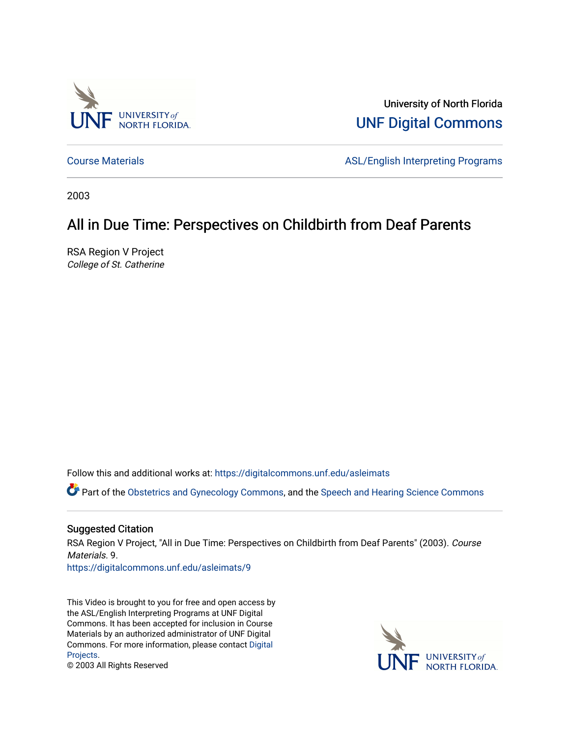

University of North Florida [UNF Digital Commons](https://digitalcommons.unf.edu/) 

[Course Materials](https://digitalcommons.unf.edu/asleimats) **ASL/English Interpreting Programs** 

2003

#### All in Due Time: Perspectives on Childbirth from Deaf Parents

RSA Region V Project College of St. Catherine

Follow this and additional works at: [https://digitalcommons.unf.edu/asleimats](https://digitalcommons.unf.edu/asleimats?utm_source=digitalcommons.unf.edu%2Fasleimats%2F9&utm_medium=PDF&utm_campaign=PDFCoverPages) 

Part of the [Obstetrics and Gynecology Commons,](http://network.bepress.com/hgg/discipline/693?utm_source=digitalcommons.unf.edu%2Fasleimats%2F9&utm_medium=PDF&utm_campaign=PDFCoverPages) and the [Speech and Hearing Science Commons](http://network.bepress.com/hgg/discipline/1033?utm_source=digitalcommons.unf.edu%2Fasleimats%2F9&utm_medium=PDF&utm_campaign=PDFCoverPages)

#### Suggested Citation

RSA Region V Project, "All in Due Time: Perspectives on Childbirth from Deaf Parents" (2003). Course Materials. 9.

[https://digitalcommons.unf.edu/asleimats/9](https://digitalcommons.unf.edu/asleimats/9?utm_source=digitalcommons.unf.edu%2Fasleimats%2F9&utm_medium=PDF&utm_campaign=PDFCoverPages) 

This Video is brought to you for free and open access by the ASL/English Interpreting Programs at UNF Digital Commons. It has been accepted for inclusion in Course Materials by an authorized administrator of UNF Digital Commons. For more information, please contact [Digital](mailto:lib-digital@unf.edu) [Projects.](mailto:lib-digital@unf.edu)



© 2003 All Rights Reserved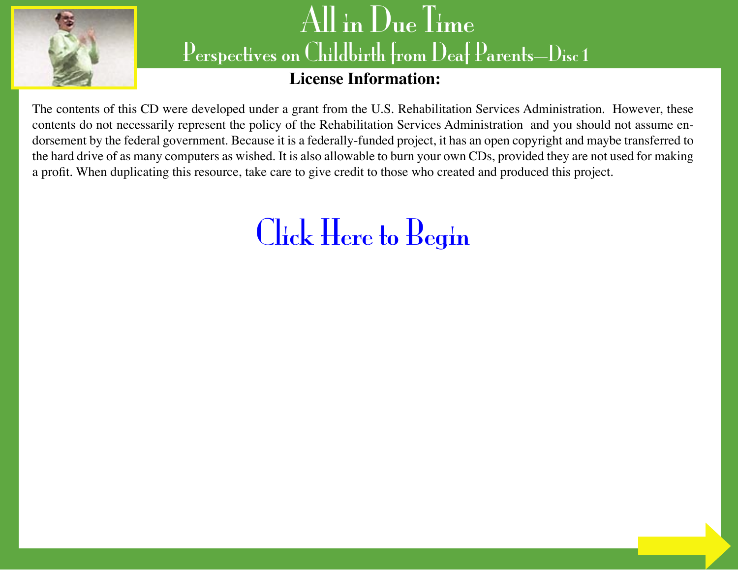

## **License Information:**

The contents of this CD were developed under a grant from the U.S. Rehabilitation Services Administration. However, these contents do not necessarily represent the policy of the Rehabilitation Services Administration and you should not assume endorsement by the federal government. Because it is a federally-funded project, it has an open copyright and maybe transferred to the hard drive of as many computers as wished. It is also allowable to burn your own CDs, provided they are not used for making a profit. When duplicating this resource, take care to give credit to those who created and produced this project.

# [Click Here to Begin](#page-2-0)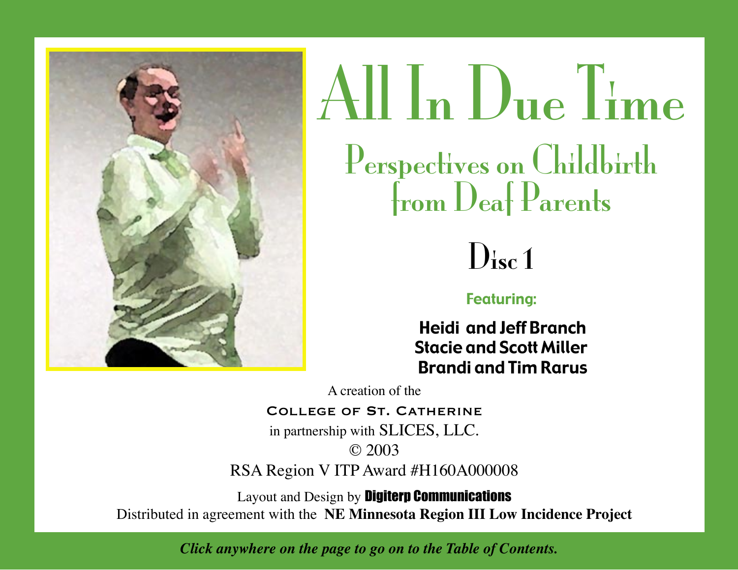<span id="page-2-0"></span>





### Featuring:

 Heidi and Jeff Branch Stacie and Scott Miller Brandi and Tim Rarus

A creation of the

#### COLLEGE OF ST. CATHERINE

in partnership with SLICES, LLC. © 2003

RSA Region V ITP Award #H160A000008

Layout and Design by Digiterp Communications Distributed in agreement with the **NE Minnesota Region III Low Incidence Project**

*Click anywhere on the page to go on to the Table of Contents.*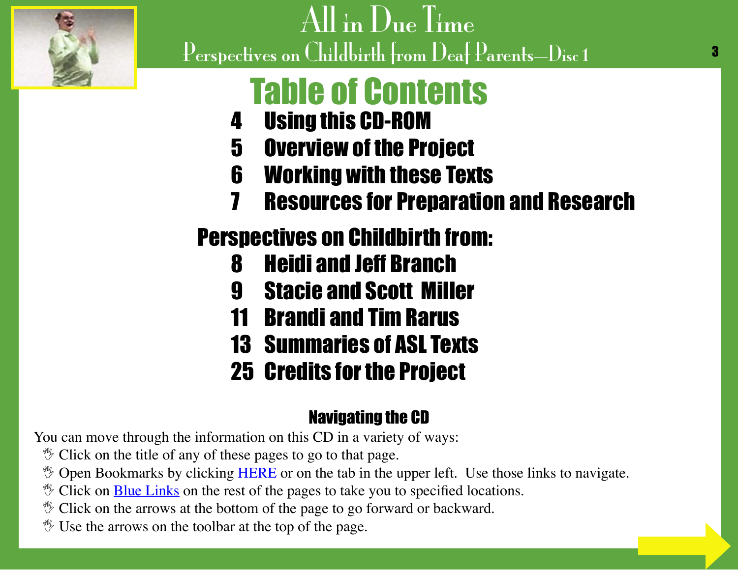<span id="page-3-0"></span>

# Table of Contents

- 4 [Using this CD-ROM](#page-4-0)
- 5 [Overview of the Project](#page-5-0)
- 6 [Working with these Texts](#page-6-0)
- 7 [Resources for Preparation and Research](#page-7-0)

# Perspectives on Childbirth from:

- 8 [Heidi and Jeff Branch](#page-8-0)
- 9 [Stacie and Scott Miller](#page-9-0)
- 11 [Brandi and Tim Rarus](#page-11-0)
- 13 [Summaries of ASL Texts](#page-13-0)
- 25 [Credits for the Project](#page-25-0)

# Navigating the CD

You can move through the information on this CD in a variety of ways:

- $\mathcal V$  Click on the title of any of these pages to go to that page.
- **V** Open Bookmarks by clicking HERE or on the tab in the upper left. Use those links to navigate.
- $\mathcal V$  Click on **Blue Links** on the rest of the pages to take you to specified locations.
- $\mathcal V$  Click on the arrows at the bottom of the page to go forward or backward.
- $\mathcal Y$  Use the arrows on the toolbar at the top of the page.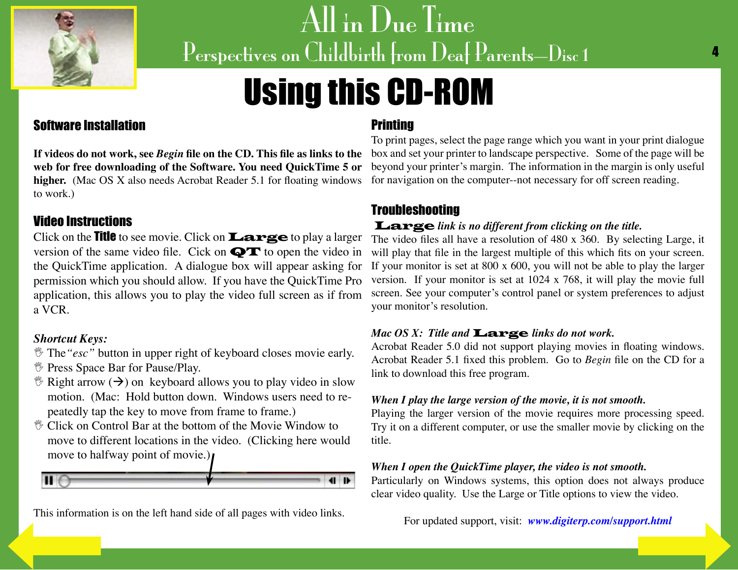<span id="page-4-0"></span>

# Using this CD-ROM

#### Software Installation

higher. (Mac OS X also needs Acrobat Reader 5.1 for floating windows to work.)

#### Video Instructions

Click on the Title to see movie. Click on Large to play a larger version of the same video file. Cick on  $\mathbf{Q} \mathbf{T}$  to open the video in the QuickTime application. A dialogue box will appear asking for permission which you should allow. If you have the QuickTime Pro application, this allows you to play the video full screen as if from a VCR.

#### *Shortcut Keys:*

- *If* The "esc" button in upper right of keyboard closes movie early.
- *<sup>\*\*</sup>* Press Space Bar for Pause/Play.
- $\mathcal{F}$  Right arrow ( $\rightarrow$ ) on keyboard allows you to play video in slow motion. (Mac: Hold button down. Windows users need to repeatedly tap the key to move from frame to frame.)
- $\mathcal V$  Click on Control Bar at the bottom of the Movie Window to move to different locations in the video. (Clicking here would move to halfway point of movie.)



[This information](#page-3-0) is on the left hand side of all pages with video links.

#### **Printing**

**If videos do not work, see** *Begin* **file on the CD. This file as links to the**  box and set your printer to landscape perspective. Some of the page will be **web for free downloading of the Software. You need QuickTime 5 or**  beyond your printer's margin. The information in the margin is only useful To print pages, select the page range which you want in your print dialogue for navigation on the computer--not necessary for off screen reading.

### **Troubleshooting**

#### Large *link is no different from clicking on the title.*

The video files all have a resolution of 480 x 360. By selecting Large, it will play that file in the largest multiple of this which fits on your screen. If your monitor is set at 800 x 600, you will not be able to play the larger version. If your monitor is set at 1024 x 768, it will play the movie full screen. See your computer's control panel or system preferences to adjust your monitor's resolution.

#### *Mac OS X: Title and* Large *links do not work.*

Acrobat Reader 5.0 did not support playing movies in floating windows. Acrobat Reader 5.1 fixed this problem. Go to *Begin* file on the CD for a link to download this free program.

#### *When I play the large version of the movie, it is not smooth.*

Playing the larger version of the movie requires more processing speed. Try it on a different computer, or use the smaller movie by clicking on the title.

#### *When I open the QuickTime player, the video is not smooth.*

Particularly on Windows systems, this option does not always produce clear video quality. Use the Large or Title options to view the video.

For updated support, visit: *[www.digiterp.com/support.html](http://www.digiterp.com/support.html)*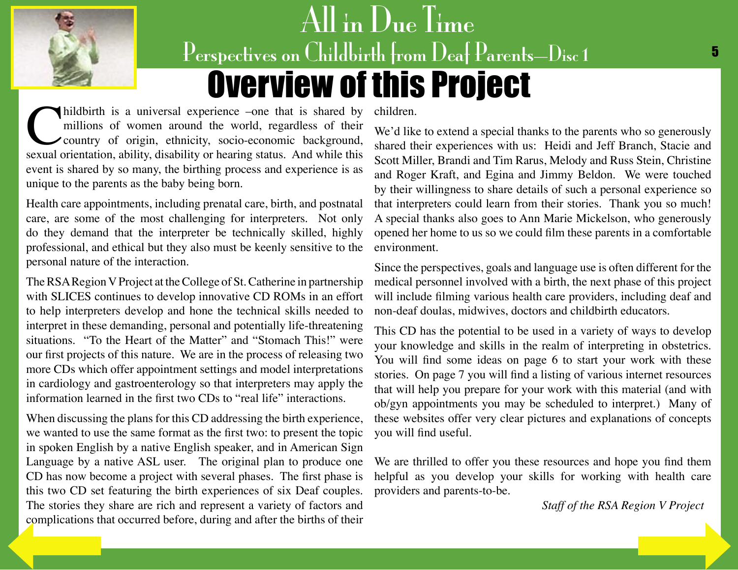# All in Due Time Perspectives on Childbirth from Deaf Parents—Disc 1 5 Overview of this Project

<span id="page-5-0"></span>millions of women around the world, regardless of their country of origin, ethnicity, socio-economic background, sexual orientation, ability, disability or hearing status. And while this millions of women around the world, regardless of their country of origin, ethnicity, socio-economic background, event is shared by so many, the birthing process and experience is as unique to the parents as the baby being born.

Health care appointments, including prenatal care, birth, and postnatal care, are some of the most challenging for interpreters. Not only do they demand that the interpreter be technically skilled, highly professional, and ethical but they also must be keenly sensitive to the personal nature of the interaction.

The RSA Region V Project at the College of St. Catherine in partnership with SLICES continues to develop innovative CD ROMs in an effort to help interpreters develop and hone the technical skills needed to interpret in these demanding, personal and potentially life-threatening situations. "To the Heart of the Matter" and "Stomach This!" were our first projects of this nature. We are in the process of releasing two more CDs which offer appointment settings and model interpretations in cardiology and gastroenterology so that interpreters may apply the information learned in the first two CDs to "real life" interactions.

When discussing the plans for this CD addressing the birth experience, we wanted to use the same format as the first two: to present the topic in spoken English by a native English speaker, and in American Sign Language by a native ASL user. The original plan to produce one CD has now become a project with several phases. The first phase is this two CD set featuring the birth experiences of six Deaf couples. The stories they share are rich and represent a variety of factors and [complications th](#page-4-0)at occurred before, during and after the births of their

children.

We'd like to extend a special thanks to the parents who so generously shared their experiences with us: Heidi and Jeff Branch, Stacie and Scott Miller, Brandi and Tim Rarus, Melody and Russ Stein, Christine and Roger Kraft, and Egina and Jimmy Beldon. We were touched by their willingness to share details of such a personal experience so that interpreters could learn from their stories. Thank you so much! A special thanks also goes to Ann Marie Mickelson, who generously opened her home to us so we could film these parents in a comfortable environment.

Since the perspectives, goals and language use is often different for the medical personnel involved with a birth, the next phase of this project will include filming various health care providers, including deaf and non-deaf doulas, midwives, doctors and childbirth educators.

This CD has the potential to be used in a variety of ways to develop your knowledge and skills in the realm of interpreting in obstetrics. You will find some ideas on page 6 to start your work with these stories. On page 7 you will find a listing of various internet resources that will help you prepare for your work with this material (and with ob/gyn appointments you may be scheduled to interpret.) Many of these websites offer very clear pictures and explanations of concepts you will find useful.

We are thrilled to offer you these resources and hope you find them helpful as you develop your skills for working with health care providers and parents-to-be.

*Staff of the RSA Region V Project*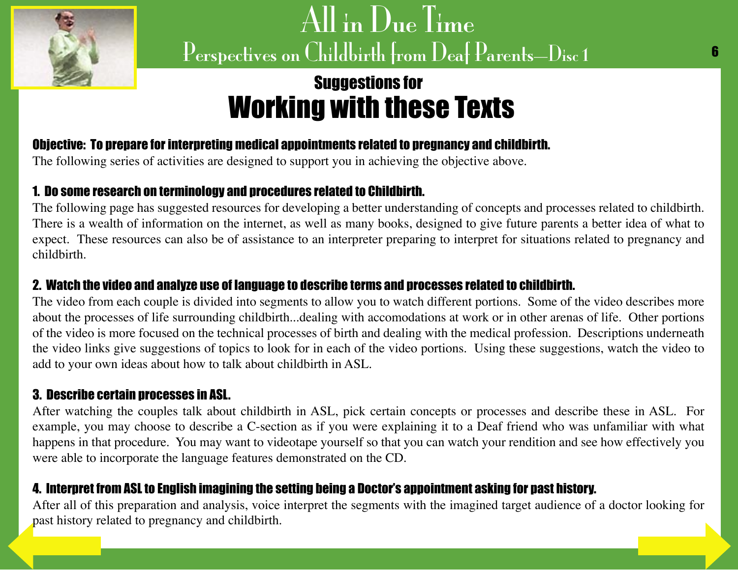<span id="page-6-0"></span>

# Suggestions for Working with these Texts

## Objective: To prepare for interpreting medical appointments related to pregnancy and childbirth.

The following series of activities are designed to support you in achieving the objective above.

## 1. Do some research on terminology and procedures related to Childbirth.

The following page has suggested resources for developing a better understanding of concepts and processes related to childbirth. There is a wealth of information on the internet, as well as many books, designed to give future parents a better idea of what to expect. These resources can also be of assistance to an interpreter preparing to interpret for situations related to pregnancy and childbirth.

### 2. Watch the video and analyze use of language to describe terms and processes related to childbirth.

The video from each couple is divided into segments to allow you to watch different portions. Some of the video describes more about the processes of life surrounding childbirth...dealing with accomodations at work or in other arenas of life. Other portions of the video is more focused on the technical processes of birth and dealing with the medical profession. Descriptions underneath the video links give suggestions of topics to look for in each of the video portions. Using these suggestions, watch the video to add to your own ideas about how to talk about childbirth in ASL.

### 3. Describe certain processes in ASL.

After watching the couples talk about childbirth in ASL, pick certain concepts or processes and describe these in ASL. For example, you may choose to describe a C-section as if you were explaining it to a Deaf friend who was unfamiliar with what happens in that procedure. You may want to videotape yourself so that you can watch your rendition and see how effectively you were able to incorporate the language features demonstrated on the CD.

## 4. Interpret from ASL to English imagining the setting being a Doctor's appointment asking for past history.

After all of this preparation and analysis, voice interpret the segments with the imagined target audience of a doctor looking for [past history rel](#page-5-0)ated to pregnancy and childbirth.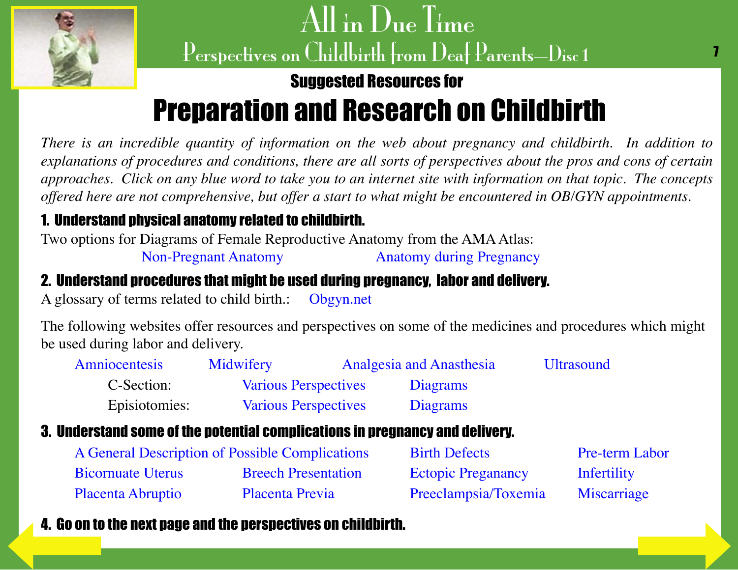<span id="page-7-0"></span>

## Suggested Resources for

# Preparation and Research on Childbirth

*There is an incredible quantity of information on the web about pregnancy and childbirth. In addition to explanations of procedures and conditions, there are all sorts of perspectives about the pros and cons of certain approaches. Click on any blue word to take you to an internet site with information on that topic. The concepts offered here are not comprehensive, but offer a start to what might be encountered in OB/GYN appointments.*

## 1. Understand physical anatomy related to childbirth.

Two options for Diagrams of Female Reproductive Anatomy from the AMA Atlas:

[Non-Pregnant Anatomy](http://www.ama-assn.org/ama/pub/category/7163.html) [Anatomy during Pregnancy](http://www.ama-assn.org/ama/pub/category/7161.html)

## 2. Understand procedures that might be used during pregnancy, labor and delivery.

A glossary of terms related to child birth.: [Obgyn.net](http://www.obgyn.net/displayarticle.asp?page=glossary_of_terms) 

The following websites offer resources and perspectives on some of the medicines and procedures which might be used during labor and delivery.

| <b>Amniocentesis</b> | Midwifery                   | <b>Analgesia and Anasthesia</b> | <b>Ultrasound</b> |
|----------------------|-----------------------------|---------------------------------|-------------------|
| C-Section:           | <b>Various Perspectives</b> | Diagrams                        |                   |
| Episiotomies:        | <b>Various Perspectives</b> | Diagrams                        |                   |

## 3. Understand some of the potential complications in pregnancy and delivery.

| A General Description of Possible Complications |                            | <b>Birth Defects</b>      | <b>Pre-term Labor</b> |  |
|-------------------------------------------------|----------------------------|---------------------------|-----------------------|--|
| <b>Bicornuate Uterus</b>                        | <b>Breech Presentation</b> | <b>Ectopic Preganancy</b> | Infertility           |  |
| <b>Placenta Abruptio</b>                        | Placenta Previa            | Preeclampsia/Toxemia      | Miscarriage           |  |

## [4. Go on to th](#page-6-0)e next page and the perspectives on childbirth.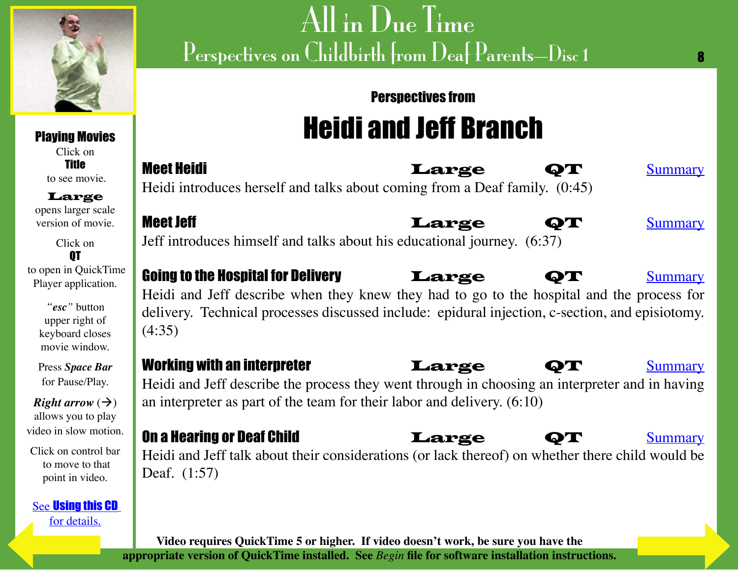<span id="page-8-0"></span>

Playing Movies Click on Title to see movie. Large opens larger scale version of movie.

Click on **OT**  to open in QuickTime Player application.

> *"esc"* button upper right of keyboard closes movie window.

Press *Space Bar* for Pause/Play.

*Right arrow*  $(\rightarrow)$ allows you to play video in slow motion.

Click on control bar to move to that point in video.

See [Using this CD](#page-4-0) [for details.](#page-7-0)

# All in Due Time Perspectives on Childbirth from Deaf Parents—Disc 1

# Perspectives from Heidi and Jeff Branch

8

| <b>Meet Heidi</b>                                                            | Large | $\bullet$ T | Summary |
|------------------------------------------------------------------------------|-------|-------------|---------|
| Heidi introduces herself and talks about coming from a Deaf family. $(0.45)$ |       |             |         |

Meet Jeff **Allie Command Meet Jeff** Jeff Act of the Large QT and <u>[Summary](#page-13-0)</u> Jeff introduces himself and talks about his educational journey. (6:37)

### Going to the Hospital for Delivery **Large** QT [Summary](#page-14-0) Heidi and Jeff describe when they knew they had to go to the hospital and the process for delivery. Technical processes discussed include: epidural injection, c-section, and episiotomy. (4:35)

### Working with an interpreter **Large QT** [Summary](#page-15-0)

Heidi and Jeff describe the process they went through in choosing an interpreter and in having an interpreter as part of the team for their labor and delivery. (6:10)

### **On a Hearing or Deaf Child Concrete Large QT [Summary](#page-15-0)**

Heidi and Jeff talk about their considerations (or lack thereof) on whether there child would be Deaf. (1:57)

**Video requires QuickTime 5 or higher. If video doesn't work, be sure you have the appropriate version of QuickTime installed. See** *Begin* **file for software installation instructions.**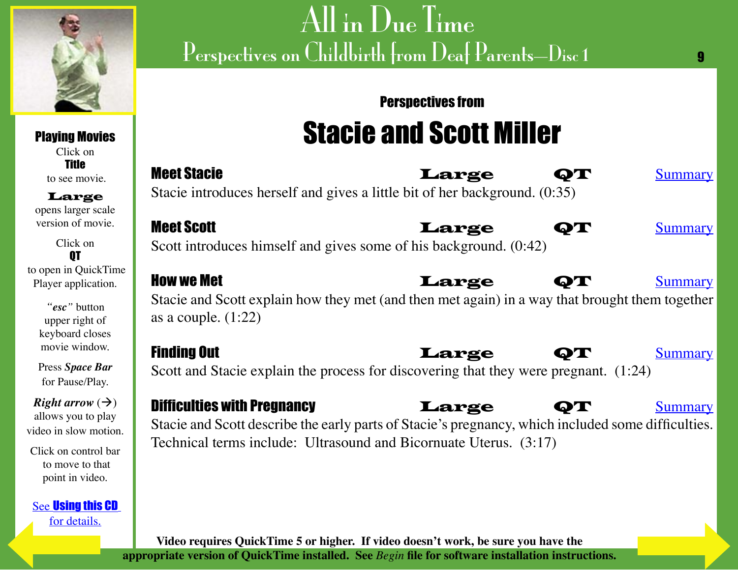<span id="page-9-0"></span>

Playing Movies Click on Title

# $\overline{{\rm All}}$  in  ${\rm D}_{\rm ue}$  Time Perspectives on Childbirth from Deaf Parents—Disc 1

# Perspectives from Stacie and Scott Miller

 $\mathbf{q}$ 

| .<br>to see movie.                                                                | <b>Meet Stacie</b><br>Large<br>ОТ<br><b>Summary</b>                                                                                                                       |
|-----------------------------------------------------------------------------------|---------------------------------------------------------------------------------------------------------------------------------------------------------------------------|
| Large<br>opens larger scale                                                       | Stacie introduces herself and gives a little bit of her background. (0:35)                                                                                                |
| version of movie.                                                                 | <b>Meet Scott</b><br>Large<br>QT<br><b>Summary</b>                                                                                                                        |
| Click on                                                                          | Scott introduces himself and gives some of his background. (0:42)                                                                                                         |
| to open in QuickTime<br>Player application.                                       | <b>How we Met</b><br>Large<br>$\mathbf{Q} \mathbf{T}$<br><b>Summary</b>                                                                                                   |
| "esc" button<br>upper right of<br>keyboard closes                                 | Stacie and Scott explain how they met (and then met again) in a way that brought them together<br>as a couple. $(1:22)$                                                   |
| movie window.                                                                     | <b>Finding Out</b><br>Large<br><b>Summary</b><br>ФТ                                                                                                                       |
| Press Space Bar<br>for Pause/Play.                                                | Scott and Stacie explain the process for discovering that they were pregnant. (1:24)                                                                                      |
| <i>Right arrow</i> $(\rightarrow)$<br>allows you to play<br>video in slow motion. | <b>Difficulties with Pregnancy</b><br>Large<br><b>Summary</b><br>ФТ<br>Stacie and Scott describe the early parts of Stacie's pregnancy, which included some difficulties. |
| Click on control bar<br>to move to that<br>point in video.                        | Technical terms include: Ultrasound and Bicornuate Uterus. (3:17)                                                                                                         |
| <b>See Using this CD</b><br>for details.                                          |                                                                                                                                                                           |

**Video requires QuickTime 5 or higher. If video doesn't work, be sure you have the appropriate version of QuickTime installed. See** *Begin* **file for software installation instructions.**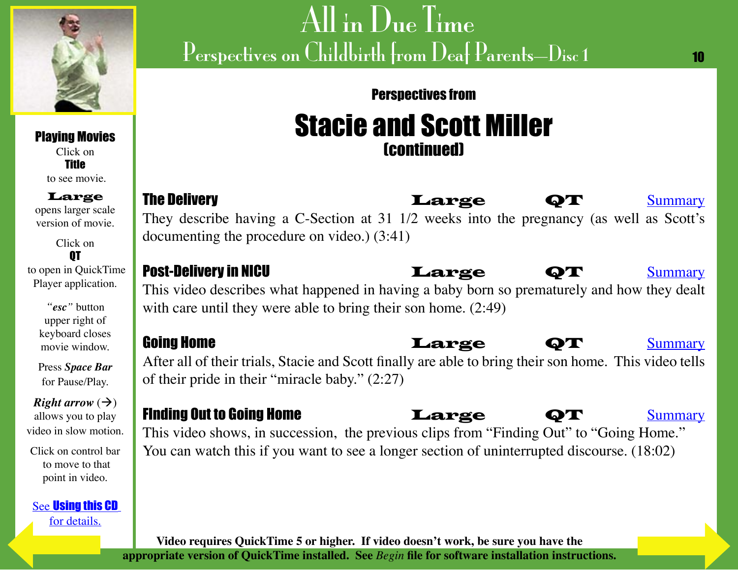<span id="page-10-0"></span>

Perspectives from

10

## Stacie and Scott Miller (continued)

The Delivery **Resection Contract Contract Contract Contract Contract Contract Contract Contract Contract Contract Contract Contract Contract Contract Contract Contract Contract Contract Contract Contract Contract Contract** They describe having a C-Section at 31 1/2 weeks into the pregnancy (as well as Scott's documenting the procedure on video.) (3:41)

Post-Delivery in NICU **Large QT** [Summary](#page-19-0) This video describes what happened in having a baby born so prematurely and how they dealt with care until they were able to bring their son home.  $(2.49)$ 

**Going Home diagram in the contract of the Community Community Community** After all of their trials, Stacie and Scott finally are able to bring their son home. This video tells of their pride in their "miracle baby." (2:27)

## Finding Out to Going Home **Large QT** [Summary](#page-17-0)

This video shows, in succession, the previous clips from "Finding Out" to "Going Home." You can watch this if you want to see a longer section of uninterrupted discourse. (18:02)

**Video requires QuickTime 5 or higher. If video doesn't work, be sure you have the appropriate version of QuickTime installed. See** *Begin* **file for software installation instructions.**

Playing Movies Click on Title

to see movie.

Large opens larger scale version of movie.

Click on QT to open in QuickTime Player application.

> *"esc"* button upper right of keyboard closes movie window.

Press *Space Bar* for Pause/Play.

*Right arrow*  $(\rightarrow)$ allows you to play video in slow motion.

Click on control bar to move to that point in video.

See [Using this C](#page-4-0)D [for details.](#page-9-0)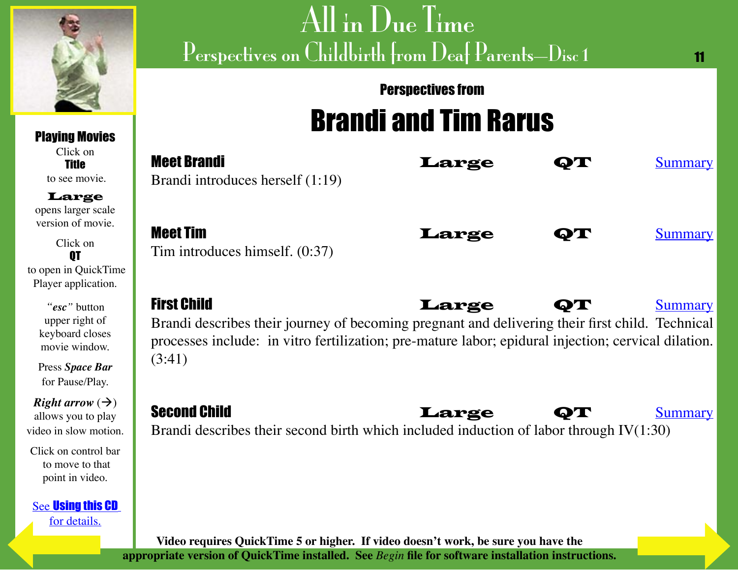<span id="page-11-0"></span>

Playing Movies Click on **Title**  to see movie. Large

# All in Due Time Perspectives on Childbirth from Deaf Parents—Disc 1

# Perspectives from Brandi and Tim Rarus

11

| Click on<br><b>Title</b><br>to see movie.                                                                                                                                               | <b>Meet Brandi</b><br>Brandi introduces herself (1:19)                                                                                                                                                                                 | Large |    | <b>Summary</b> |
|-----------------------------------------------------------------------------------------------------------------------------------------------------------------------------------------|----------------------------------------------------------------------------------------------------------------------------------------------------------------------------------------------------------------------------------------|-------|----|----------------|
| Large<br>opens larger scale<br>version of movie.<br>Click on<br>0T<br>to open in QuickTime<br>Player application.                                                                       | <b>Meet Tim</b><br>Tim introduces himself. $(0:37)$                                                                                                                                                                                    | Large | QТ | <b>Summary</b> |
| "esc" button<br>upper right of<br>keyboard closes<br>movie window.<br>Press Space Bar                                                                                                   | <b>First Child</b><br>Brandi describes their journey of becoming pregnant and delivering their first child. Technical<br>processes include: in vitro fertilization; pre-mature labor; epidural injection; cervical dilation.<br>(3:41) | Large | QT | <b>Summary</b> |
| for Pause/Play.<br><i>Right arrow</i> $(\rightarrow)$                                                                                                                                   | <b>Second Child</b>                                                                                                                                                                                                                    |       |    |                |
| allows you to play<br>video in slow motion.                                                                                                                                             | Brandi describes their second birth which included induction of labor through $IV(1:30)$                                                                                                                                               | Large |    | <b>Summary</b> |
| Click on control bar<br>to move to that<br>point in video.                                                                                                                              |                                                                                                                                                                                                                                        |       |    |                |
| <b>See Using this CD</b><br>for details.                                                                                                                                                |                                                                                                                                                                                                                                        |       |    |                |
| Video requires QuickTime 5 or higher. If video doesn't work, be sure you have the<br>appropriate version of QuickTime installed. See Begin file for software installation instructions. |                                                                                                                                                                                                                                        |       |    |                |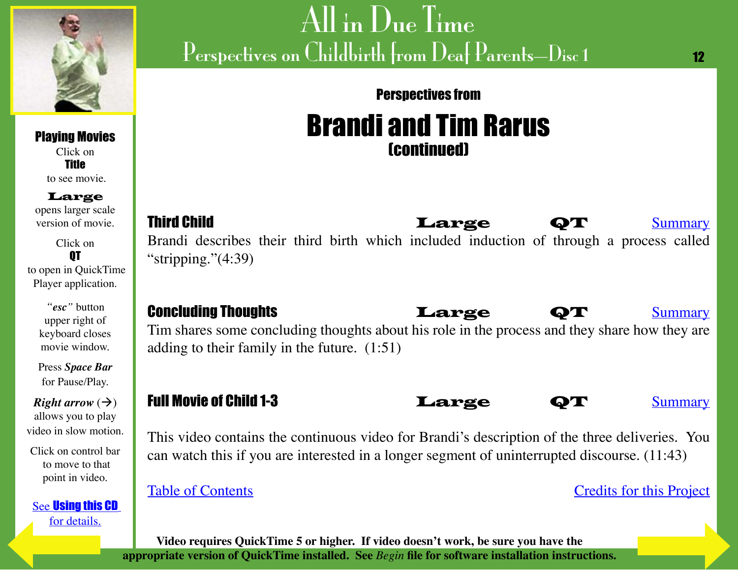<span id="page-12-0"></span>

### Perspectives from

# Brandi and Tim Rarus (continued)

**Third Child Governor Clarge QT [Summary](#page-23-0)** Brandi describes their third birth which included induction of through a process called "stripping."(4:39)

## **Concluding Thoughts Concluding Thoughts Concluding Thoughts**

Tim shares some concluding thoughts about his role in the process and they share how they are adding to their family in the future. (1:51)

## Full Movie of Child 1-3 **Large** QT [Summary](#page-21-0)

This video contains the continuous video for Brandi's description of the three deliveries. You can watch this if you are interested in a longer segment of uninterrupted discourse. (11:43)

[Table of Contents](#page-3-0) Table of Contents

12

**Video requires QuickTime 5 or higher. If video doesn't work, be sure you have the appropriate version of QuickTime installed. See** *Begin* **file for software installation instructions.**

Title to see movie.

Large

opens larger scale version of movie.

Click on QT to open in QuickTime Player application.

> *"esc"* button upper right of keyboard closes movie window.

Press *Space Bar* for Pause/Play.

*Right arrow*  $(\rightarrow)$ allows you to play video in slow motion.

Click on control bar to move to that point in video.

See [Using this CD](#page-4-0) [for details.](#page-11-0)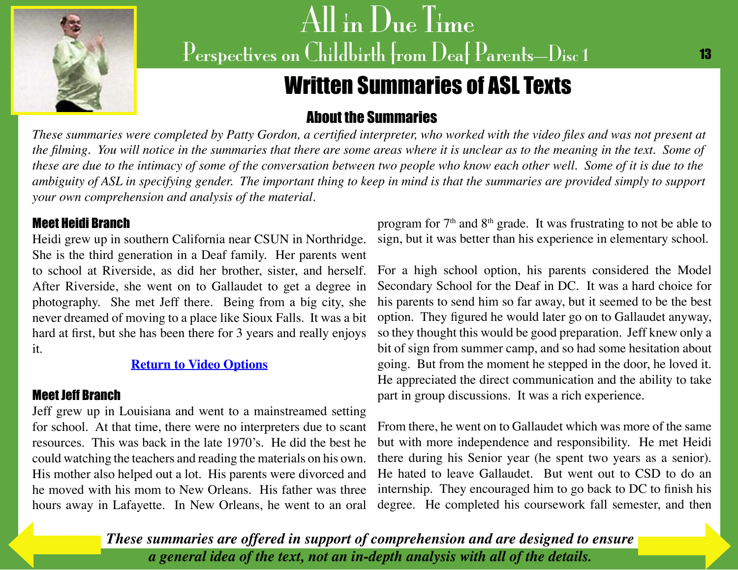<span id="page-13-0"></span>

# Written Summaries of ASL Texts

## About the Summaries

*These summaries were completed by Patty Gordon, a certified interpreter, who worked with the video files and was not present at the filming. You will notice in the summaries that there are some areas where it is unclear as to the meaning in the text. Some of these are due to the intimacy of some of the conversation between two people who know each other well. Some of it is due to the ambiguity of ASL in specifying gender. The important thing to keep in mind is that the summaries are provided simply to support your own comprehension and analysis of the material.*

#### Meet Heidi Branch

Heidi grew up in southern California near CSUN in Northridge. She is the third generation in a Deaf family. Her parents went to school at Riverside, as did her brother, sister, and herself. After Riverside, she went on to Gallaudet to get a degree in photography. She met Jeff there. Being from a big city, she never dreamed of moving to a place like Sioux Falls. It was a bit hard at first, but she has been there for 3 years and really enjoys it.

#### **[Return to Video Options](#page-8-0)**

### Meet Jeff Branch

Jeff grew up in Louisiana and went to a mainstreamed setting for school. At that time, there were no interpreters due to scant resources. This was back in the late 1970's. He did the best he could watching the teachers and reading the materials on his own. His mother also helped out a lot. His parents were divorced and he moved with his mom to New Orleans. His father was three hours away in Lafayette. In New Orleans, he went to an oral

program for  $7<sup>th</sup>$  and  $8<sup>th</sup>$  grade. It was frustrating to not be able to sign, but it was better than his experience in elementary school.

For a high school option, his parents considered the Model Secondary School for the Deaf in DC. It was a hard choice for his parents to send him so far away, but it seemed to be the best option. They figured he would later go on to Gallaudet anyway, so they thought this would be good preparation. Jeff knew only a bit of sign from summer camp, and so had some hesitation about going. But from the moment he stepped in the door, he loved it. He appreciated the direct communication and the ability to take part in group discussions. It was a rich experience.

From there, he went on to Gallaudet which was more of the same but with more independence and responsibility. He met Heidi there during his Senior year (he spent two years as a senior). He hated to leave Gallaudet. But went out to CSD to do an internship. They encouraged him to go back to DC to finish his degree. He completed his coursework fall semester, and then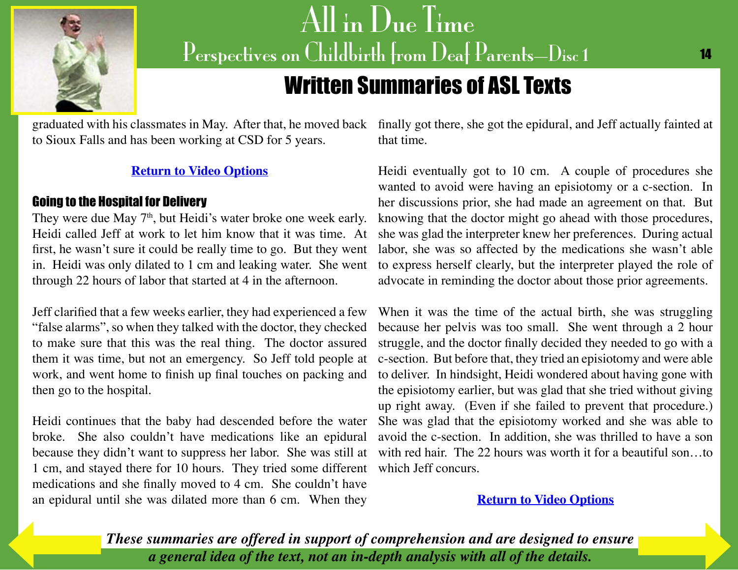<span id="page-14-0"></span>

# Written Summaries of ASL Texts

to Sioux Falls and has been working at CSD for 5 years.

#### **[Return to Video Options](#page-8-0)**

#### Going to the Hospital for Delivery

They were due May 7<sup>th</sup>, but Heidi's water broke one week early. Heidi called Jeff at work to let him know that it was time. At first, he wasn't sure it could be really time to go. But they went in. Heidi was only dilated to 1 cm and leaking water. She went through 22 hours of labor that started at 4 in the afternoon.

Jeff clarified that a few weeks earlier, they had experienced a few "false alarms", so when they talked with the doctor, they checked to make sure that this was the real thing. The doctor assured them it was time, but not an emergency. So Jeff told people at work, and went home to finish up final touches on packing and then go to the hospital.

Heidi continues that the baby had descended before the water broke. She also couldn't have medications like an epidural because they didn't want to suppress her labor. She was still at 1 cm, and stayed there for 10 hours. They tried some different medications and she finally moved to 4 cm. She couldn't have an epidural until she was dilated more than 6 cm. When they

graduated with his classmates in May. After that, he moved back finally got there, she got the epidural, and Jeff actually fainted at that time.

> Heidi eventually got to 10 cm. A couple of procedures she wanted to avoid were having an episiotomy or a c-section. In her discussions prior, she had made an agreement on that. But knowing that the doctor might go ahead with those procedures, she was glad the interpreter knew her preferences. During actual labor, she was so affected by the medications she wasn't able to express herself clearly, but the interpreter played the role of advocate in reminding the doctor about those prior agreements.

> When it was the time of the actual birth, she was struggling because her pelvis was too small. She went through a 2 hour struggle, and the doctor finally decided they needed to go with a c-section. But before that, they tried an episiotomy and were able to deliver. In hindsight, Heidi wondered about having gone with the episiotomy earlier, but was glad that she tried without giving up right away. (Even if she failed to prevent that procedure.) She was glad that the episiotomy worked and she was able to avoid the c-section. In addition, she was thrilled to have a son with red hair. The 22 hours was worth it for a beautiful son...to which Jeff concurs.

#### **[Return to Video Options](#page-8-0)**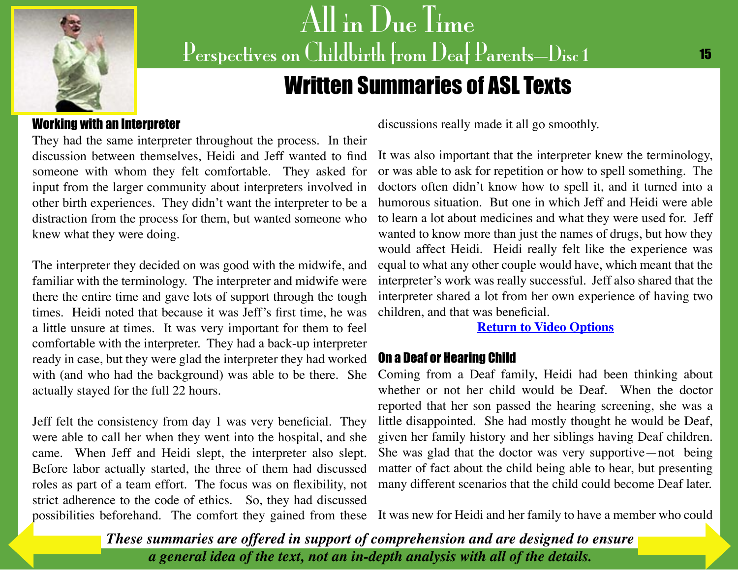<span id="page-15-0"></span>

# Written Summaries of ASL Texts

#### Working with an Interpreter

They had the same interpreter throughout the process. In their discussion between themselves, Heidi and Jeff wanted to find someone with whom they felt comfortable. They asked for input from the larger community about interpreters involved in other birth experiences. They didn't want the interpreter to be a distraction from the process for them, but wanted someone who knew what they were doing.

The interpreter they decided on was good with the midwife, and familiar with the terminology. The interpreter and midwife were there the entire time and gave lots of support through the tough times. Heidi noted that because it was Jeff's first time, he was a little unsure at times. It was very important for them to feel comfortable with the interpreter. They had a back-up interpreter ready in case, but they were glad the interpreter they had worked with (and who had the background) was able to be there. She actually stayed for the full 22 hours.

Jeff felt the consistency from day 1 was very beneficial. They were able to call her when they went into the hospital, and she came. When Jeff and Heidi slept, the interpreter also slept. Before labor actually started, the three of them had discussed roles as part of a team effort. The focus was on flexibility, not strict adherence to the code of ethics. So, they had discussed possibilities beforehand. The comfort they gained from these It was new for Heidi and her family to have a m[ember who could](#page-16-0) 

discussions really made it all go smoothly.

It was also important that the interpreter knew the terminology, or was able to ask for repetition or how to spell something. The doctors often didn't know how to spell it, and it turned into a humorous situation. But one in which Jeff and Heidi were able to learn a lot about medicines and what they were used for. Jeff wanted to know more than just the names of drugs, but how they would affect Heidi. Heidi really felt like the experience was equal to what any other couple would have, which meant that the interpreter's work was really successful. Jeff also shared that the interpreter shared a lot from her own experience of having two children, and that was beneficial.

#### **[Return to Video Options](#page-8-0)**

#### On a Deaf or Hearing Child

Coming from a Deaf family, Heidi had been thinking about whether or not her child would be Deaf. When the doctor reported that her son passed the hearing screening, she was a little disappointed. She had mostly thought he would be Deaf, given her family history and her siblings having Deaf children. She was glad that the doctor was very supportive—not being matter of fact about the child being able to hear, but presenting many different scenarios that the child could become Deaf later.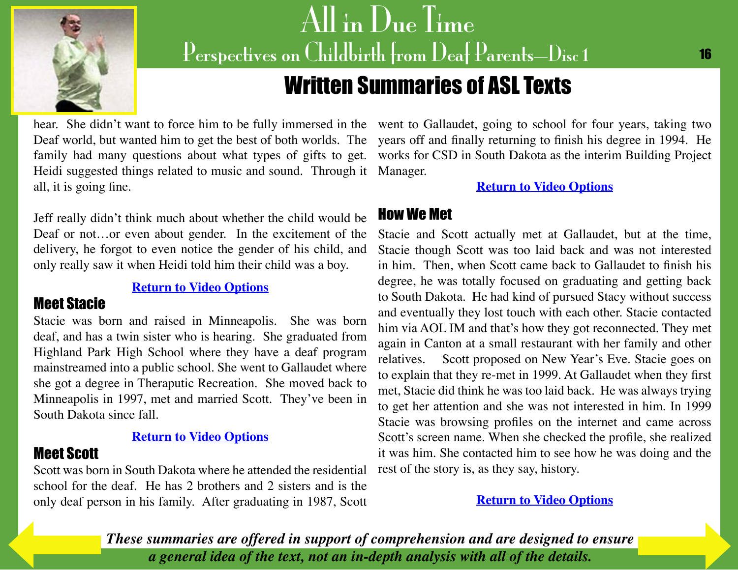<span id="page-16-0"></span>

# Written Summaries of ASL Texts

Heidi suggested things related to music and sound. Through it Manager. all, it is going fine.

Jeff really didn't think much about whether the child would be Deaf or not…or even about gender. In the excitement of the delivery, he forgot to even notice the gender of his child, and only really saw it when Heidi told him their child was a boy.

**[Return to Video Options](#page-8-0)**

### Meet Stacie

Stacie was born and raised in Minneapolis. She was born deaf, and has a twin sister who is hearing. She graduated from Highland Park High School where they have a deaf program mainstreamed into a public school. She went to Gallaudet where she got a degree in Theraputic Recreation. She moved back to Minneapolis in 1997, met and married Scott. They've been in South Dakota since fall.

#### **[Return to Video Options](#page-9-0)**

### Meet Scott

Scott was born in South Dakota where he attended the residential school for the deaf. He has 2 brothers and 2 sisters and is the only deaf person in his family. After graduating in 1987, Scott

hear. She didn't want to force him to be fully immersed in the went to Gallaudet, going to school for four years, taking two Deaf world, but wanted him to get the best of both worlds. The years off and finally returning to finish his degree in 1994. He family had many questions about what types of gifts to get. works for CSD in South Dakota as the interim Building Project

#### **[Return to Video Options](#page-9-0)**

### How We Met

Stacie and Scott actually met at Gallaudet, but at the time, Stacie though Scott was too laid back and was not interested in him. Then, when Scott came back to Gallaudet to finish his degree, he was totally focused on graduating and getting back to South Dakota. He had kind of pursued Stacy without success and eventually they lost touch with each other. Stacie contacted him via AOL IM and that's how they got reconnected. They met again in Canton at a small restaurant with her family and other relatives. Scott proposed on New Year's Eve. Stacie goes on to explain that they re-met in 1999. At Gallaudet when they first met, Stacie did think he was too laid back. He was always trying to get her attention and she was not interested in him. In 1999 Stacie was browsing profiles on the internet and came across Scott's screen name. When she checked the profile, she realized it was him. She contacted him to see how he was doing and the rest of the story is, as they say, history.

#### **[Return to Video Options](#page-9-0)**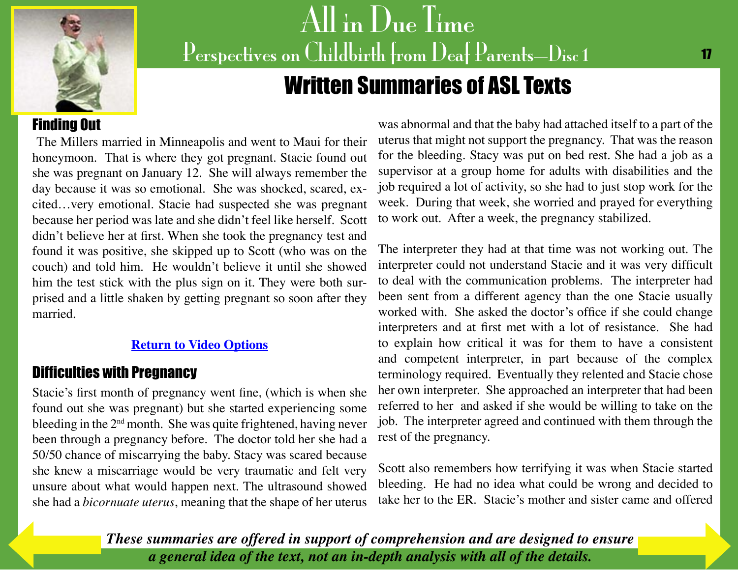<span id="page-17-0"></span>

# Written Summaries of ASL Texts

### Finding Out

The Millers married in Minneapolis and went to Maui for their honeymoon. That is where they got pregnant. Stacie found out she was pregnant on January 12. She will always remember the day because it was so emotional. She was shocked, scared, excited…very emotional. Stacie had suspected she was pregnant because her period was late and she didn't feel like herself. Scott didn't believe her at first. When she took the pregnancy test and found it was positive, she skipped up to Scott (who was on the couch) and told him. He wouldn't believe it until she showed him the test stick with the plus sign on it. They were both surprised and a little shaken by getting pregnant so soon after they married.

#### **[Return to Video Options](#page-9-0)**

### Difficulties with Pregnancy

Stacie's first month of pregnancy went fine, (which is when she found out she was pregnant) but she started experiencing some bleeding in the 2<sup>nd</sup> month. She was quite frightened, having never been through a pregnancy before. The doctor told her she had a 50/50 chance of miscarrying the baby. Stacy was scared because she knew a miscarriage would be very traumatic and felt very unsure about what would happen next. The ultrasound showed she had a *bicornuate uterus*, meaning that the shape of her uterus

was abnormal and that the baby had attached itself to a part of the uterus that might not support the pregnancy. That was the reason for the bleeding. Stacy was put on bed rest. She had a job as a supervisor at a group home for adults with disabilities and the job required a lot of activity, so she had to just stop work for the week. During that week, she worried and prayed for everything to work out. After a week, the pregnancy stabilized.

The interpreter they had at that time was not working out. The interpreter could not understand Stacie and it was very difficult to deal with the communication problems. The interpreter had been sent from a different agency than the one Stacie usually worked with. She asked the doctor's office if she could change interpreters and at first met with a lot of resistance. She had to explain how critical it was for them to have a consistent and competent interpreter, in part because of the complex terminology required. Eventually they relented and Stacie chose her own interpreter. She approached an interpreter that had been referred to her and asked if she would be willing to take on the job. The interpreter agreed and continued with them through the rest of the pregnancy.

Scott also remembers how terrifying it was when Stacie started bleeding. He had no idea what could be wrong and decided to take her to the ER. Stacie's mother and sister came and offered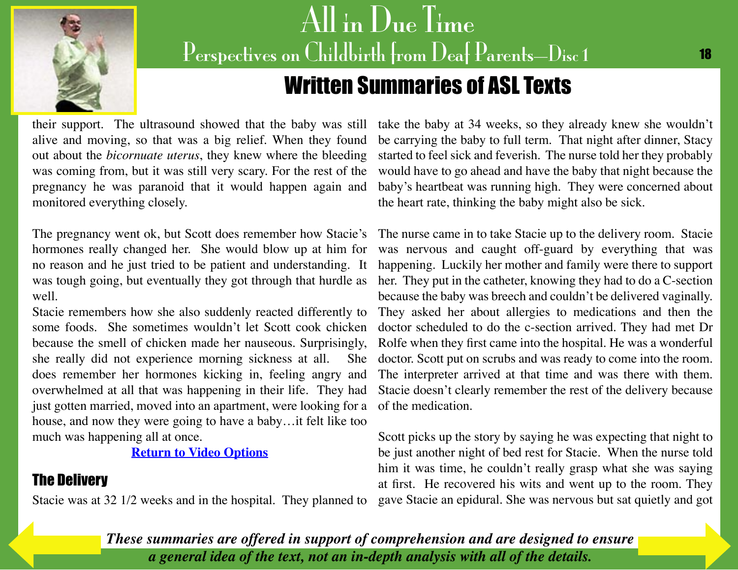<span id="page-18-0"></span>

# Written Summaries of ASL Texts

their support. The ultrasound showed that the baby was still alive and moving, so that was a big relief. When they found out about the *bicornuate uterus*, they knew where the bleeding was coming from, but it was still very scary. For the rest of the pregnancy he was paranoid that it would happen again and monitored everything closely.

hormones really changed her. She would blow up at him for no reason and he just tried to be patient and understanding. It was tough going, but eventually they got through that hurdle as well.

Stacie remembers how she also suddenly reacted differently to some foods. She sometimes wouldn't let Scott cook chicken because the smell of chicken made her nauseous. Surprisingly, she really did not experience morning sickness at all. She does remember her hormones kicking in, feeling angry and overwhelmed at all that was happening in their life. They had just gotten married, moved into an apartment, were looking for a house, and now they were going to have a baby…it felt like too much was happening all at once.

**[Return to Video Options](#page-9-0)**

### The Delivery

Stacie was at 32 1/2 weeks and in the hospital. They planned to gave Stacie an epidural. She was nervous but sat quietly and got

take the baby at 34 weeks, so they already knew she wouldn't be carrying the baby to full term. That night after dinner, Stacy started to feel sick and feverish. The nurse told her they probably would have to go ahead and have the baby that night because the baby's heartbeat was running high. They were concerned about the heart rate, thinking the baby might also be sick.

The pregnancy went ok, but Scott does remember how Stacie's The nurse came in to take Stacie up to the delivery room. Stacie was nervous and caught off-guard by everything that was happening. Luckily her mother and family were there to support her. They put in the catheter, knowing they had to do a C-section because the baby was breech and couldn't be delivered vaginally. They asked her about allergies to medications and then the doctor scheduled to do the c-section arrived. They had met Dr Rolfe when they first came into the hospital. He was a wonderful doctor. Scott put on scrubs and was ready to come into the room. The interpreter arrived at that time and was there with them. Stacie doesn't clearly remember the rest of the delivery because of the medication.

> Scott picks up the story by saying he was expecting that night to be just another night of bed rest for Stacie. When the nurse told him it was time, he couldn't really grasp what she was saying at first. He recovered his wits and went up to the room. They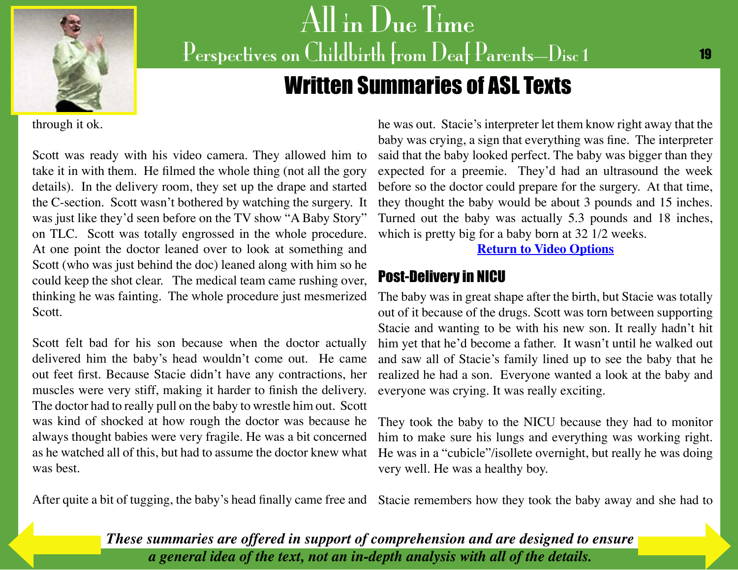<span id="page-19-0"></span>

# Written Summaries of ASL Texts

through it ok.

Scott was ready with his video camera. They allowed him to take it in with them. He filmed the whole thing (not all the gory details). In the delivery room, they set up the drape and started the C-section. Scott wasn't bothered by watching the surgery. It was just like they'd seen before on the TV show "A Baby Story" on TLC. Scott was totally engrossed in the whole procedure. At one point the doctor leaned over to look at something and Scott (who was just behind the doc) leaned along with him so he could keep the shot clear. The medical team came rushing over, thinking he was fainting. The whole procedure just mesmerized Scott.

Scott felt bad for his son because when the doctor actually delivered him the baby's head wouldn't come out. He came out feet first. Because Stacie didn't have any contractions, her muscles were very stiff, making it harder to finish the delivery. The doctor had to really pull on the baby to wrestle him out. Scott was kind of shocked at how rough the doctor was because he always thought babies were very fragile. He was a bit concerned as he watched all of this, but had to assume the doctor knew what was best.

he was out. Stacie's interpreter let them know right away that the baby was crying, a sign that everything was fine. The interpreter said that the baby looked perfect. The baby was bigger than they expected for a preemie. They'd had an ultrasound the week before so the doctor could prepare for the surgery. At that time, they thought the baby would be about 3 pounds and 15 inches. Turned out the baby was actually 5.3 pounds and 18 inches, which is pretty big for a baby born at 32 1/2 weeks.

**[Return to Video Options](#page-10-0)**

## Post-Delivery in NICU

The baby was in great shape after the birth, but Stacie was totally out of it because of the drugs. Scott was torn between supporting Stacie and wanting to be with his new son. It really hadn't hit him yet that he'd become a father. It wasn't until he walked out and saw all of Stacie's family lined up to see the baby that he realized he had a son. Everyone wanted a look at the baby and everyone was crying. It was really exciting.

They took the baby to the NICU because they had to monitor him to make sure his lungs and everything was working right. He was in a "cubicle"/isollete overnight, but really he was doing very well. He was a healthy boy.

After quite a bit of tugging, the baby's head finally came free and Stacie remembers how they took the baby away and she had to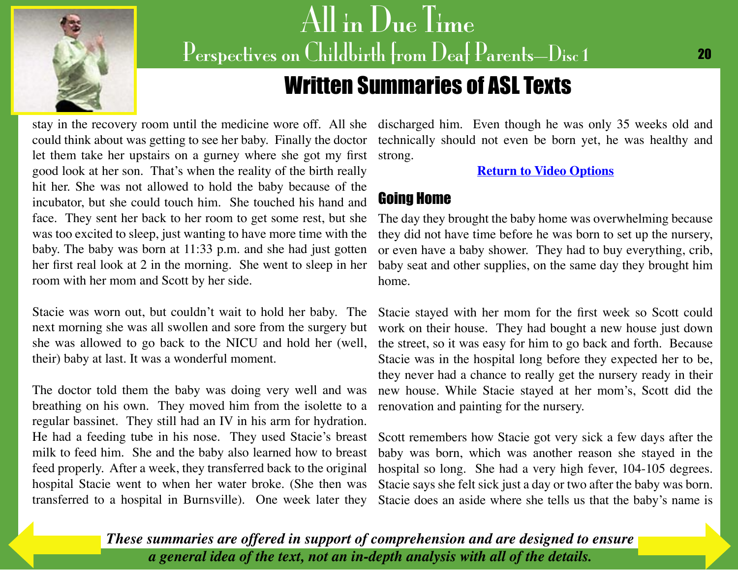<span id="page-20-0"></span>

# Written Summaries of ASL Texts

let them take her upstairs on a gurney where she got my first good look at her son. That's when the reality of the birth really hit her. She was not allowed to hold the baby because of the incubator, but she could touch him. She touched his hand and face. They sent her back to her room to get some rest, but she was too excited to sleep, just wanting to have more time with the baby. The baby was born at 11:33 p.m. and she had just gotten her first real look at 2 in the morning. She went to sleep in her room with her mom and Scott by her side.

Stacie was worn out, but couldn't wait to hold her baby. The next morning she was all swollen and sore from the surgery but she was allowed to go back to the NICU and hold her (well, their) baby at last. It was a wonderful moment.

The doctor told them the baby was doing very well and was breathing on his own. They moved him from the isolette to a regular bassinet. They still had an IV in his arm for hydration. He had a feeding tube in his nose. They used Stacie's breast milk to feed him. She and the baby also learned how to breast feed properly. After a week, they transferred back to the original hospital Stacie went to when her water broke. (She then was transferred to a hospital in Burnsville). One week later they

stay in the recovery room until the medicine wore off. All she discharged him. Even though he was only 35 weeks old and could think about was getting to see her baby. Finally the doctor technically should not even be born yet, he was healthy and strong.

**[Return to Video Options](#page-10-0)**

### Going Home

The day they brought the baby home was overwhelming because they did not have time before he was born to set up the nursery, or even have a baby shower. They had to buy everything, crib, baby seat and other supplies, on the same day they brought him home.

Stacie stayed with her mom for the first week so Scott could work on their house. They had bought a new house just down the street, so it was easy for him to go back and forth. Because Stacie was in the hospital long before they expected her to be, they never had a chance to really get the nursery ready in their new house. While Stacie stayed at her mom's, Scott did the renovation and painting for the nursery.

Scott remembers how Stacie got very sick a few days after the baby was born, which was another reason she stayed in the hospital so long. She had a very high fever, 104-105 degrees. Stacie says she felt sick just a day or two after the baby was born. Stacie does an aside where she tells us that the baby's name is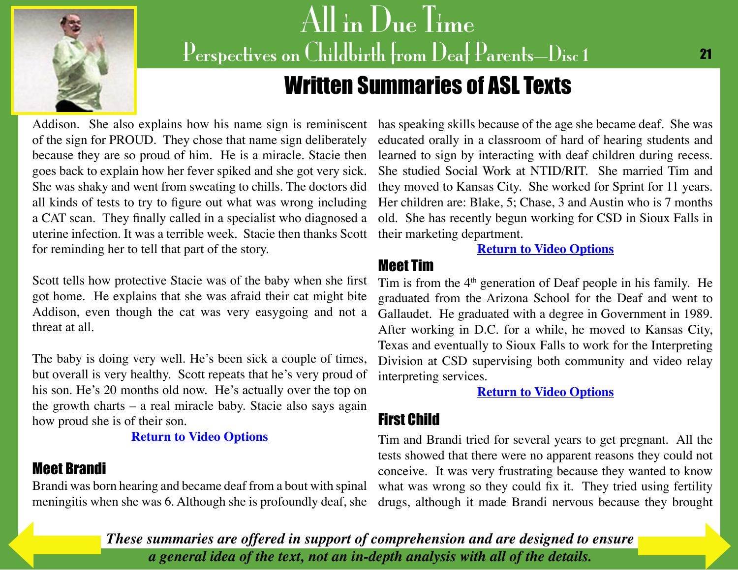<span id="page-21-0"></span>

# Written Summaries of ASL Texts

of the sign for PROUD. They chose that name sign deliberately because they are so proud of him. He is a miracle. Stacie then goes back to explain how her fever spiked and she got very sick. She was shaky and went from sweating to chills. The doctors did all kinds of tests to try to figure out what was wrong including a CAT scan. They finally called in a specialist who diagnosed a uterine infection. It was a terrible week. Stacie then thanks Scott for reminding her to tell that part of the story.

Scott tells how protective Stacie was of the baby when she first got home. He explains that she was afraid their cat might bite Addison, even though the cat was very easygoing and not a threat at all.

The baby is doing very well. He's been sick a couple of times, but overall is very healthy. Scott repeats that he's very proud of his son. He's 20 months old now. He's actually over the top on the growth charts – a real miracle baby. Stacie also says again how proud she is of their son.

#### **[Return to Video Options](#page-10-0)**

## Meet Brandi

Brandi was born hearing and became deaf from a bout with spinal meningitis when she was 6. Although she is profoundly deaf, she

Addison. She also explains how his name sign is reminiscent has speaking skills because of the age she became deaf. She was educated orally in a classroom of hard of hearing students and learned to sign by interacting with deaf children during recess. She studied Social Work at NTID/RIT. She married Tim and they moved to Kansas City. She worked for Sprint for 11 years. Her children are: Blake, 5; Chase, 3 and Austin who is 7 months old. She has recently begun working for CSD in Sioux Falls in their marketing department.

#### **[Return to Video Options](#page-11-0)**

### Meet Tim

Tim is from the  $4<sup>th</sup>$  generation of Deaf people in his family. He graduated from the Arizona School for the Deaf and went to Gallaudet. He graduated with a degree in Government in 1989. After working in D.C. for a while, he moved to Kansas City, Texas and eventually to Sioux Falls to work for the Interpreting Division at CSD supervising both community and video relay interpreting services.

**[Return to Video Options](#page-11-0)**

### First Child

Tim and Brandi tried for several years to get pregnant. All the tests showed that there were no apparent reasons they could not conceive. It was very frustrating because they wanted to know what was wrong so they could fix it. They tried using fertility drugs, although it made Brandi nervous because they brought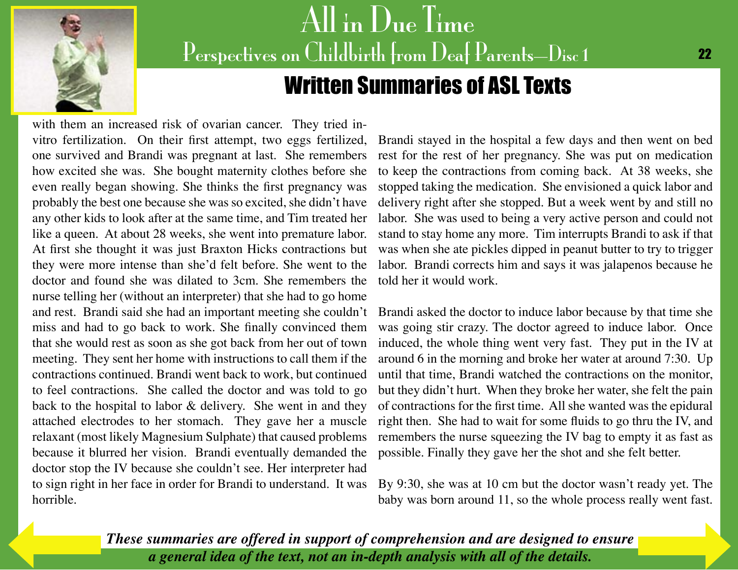<span id="page-22-0"></span>

# All in Due Time Perspectives on Childbirth from Deaf Parents-Disc 1 Written Summaries of ASL Texts

with them an increased risk of ovarian cancer. They tried invitro fertilization. On their first attempt, two eggs fertilized, one survived and Brandi was pregnant at last. She remembers how excited she was. She bought maternity clothes before she even really began showing. She thinks the first pregnancy was probably the best one because she was so excited, she didn't have any other kids to look after at the same time, and Tim treated her like a queen. At about 28 weeks, she went into premature labor. At first she thought it was just Braxton Hicks contractions but they were more intense than she'd felt before. She went to the doctor and found she was dilated to 3cm. She remembers the nurse telling her (without an interpreter) that she had to go home and rest. Brandi said she had an important meeting she couldn't miss and had to go back to work. She finally convinced them that she would rest as soon as she got back from her out of town meeting. They sent her home with instructions to call them if the contractions continued. Brandi went back to work, but continued to feel contractions. She called the doctor and was told to go back to the hospital to labor & delivery. She went in and they attached electrodes to her stomach. They gave her a muscle relaxant (most likely Magnesium Sulphate) that caused problems because it blurred her vision. Brandi eventually demanded the doctor stop the IV because she couldn't see. Her interpreter had to sign right in her face in order for Brandi to understand. It was horrible.

Brandi stayed in the hospital a few days and then went on bed rest for the rest of her pregnancy. She was put on medication to keep the contractions from coming back. At 38 weeks, she stopped taking the medication. She envisioned a quick labor and delivery right after she stopped. But a week went by and still no labor. She was used to being a very active person and could not stand to stay home any more. Tim interrupts Brandi to ask if that was when she ate pickles dipped in peanut butter to try to trigger labor. Brandi corrects him and says it was jalapenos because he told her it would work.

Brandi asked the doctor to induce labor because by that time she was going stir crazy. The doctor agreed to induce labor. Once induced, the whole thing went very fast. They put in the IV at around 6 in the morning and broke her water at around 7:30. Up until that time, Brandi watched the contractions on the monitor, but they didn't hurt. When they broke her water, she felt the pain of contractions for the first time. All she wanted was the epidural right then. She had to wait for some fluids to go thru the IV, and remembers the nurse squeezing the IV bag to empty it as fast as possible. Finally they gave her the shot and she felt better.

By 9:30, she was at 10 cm but the doctor wasn't ready yet. The baby was born around 11, so the whole process really went fast.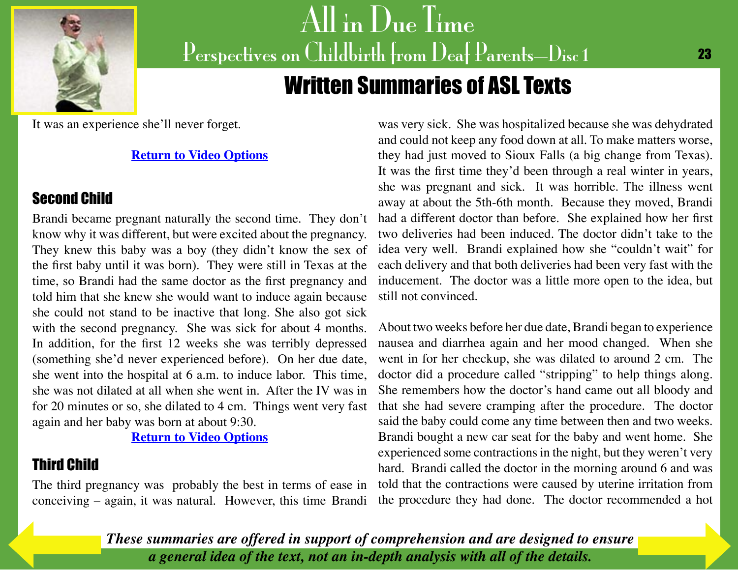<span id="page-23-0"></span>

# Written Summaries of ASL Texts

It was an experience she'll never forget.

#### **[Return to Video Options](#page-11-0)**

### Second Child

Brandi became pregnant naturally the second time. They don't know why it was different, but were excited about the pregnancy. They knew this baby was a boy (they didn't know the sex of the first baby until it was born). They were still in Texas at the time, so Brandi had the same doctor as the first pregnancy and told him that she knew she would want to induce again because she could not stand to be inactive that long. She also got sick with the second pregnancy. She was sick for about 4 months. In addition, for the first 12 weeks she was terribly depressed (something she'd never experienced before). On her due date, she went into the hospital at 6 a.m. to induce labor. This time, she was not dilated at all when she went in. After the IV was in for 20 minutes or so, she dilated to 4 cm. Things went very fast again and her baby was born at about 9:30.

#### **[Return to Video Options](#page-11-0)**

## Third Child

The third pregnancy was probably the best in terms of ease in conceiving – again, it was natural. However, this time Brandi

was very sick. She was hospitalized because she was dehydrated and could not keep any food down at all. To make matters worse, they had just moved to Sioux Falls (a big change from Texas). It was the first time they'd been through a real winter in years, she was pregnant and sick. It was horrible. The illness went away at about the 5th-6th month. Because they moved, Brandi had a different doctor than before. She explained how her first two deliveries had been induced. The doctor didn't take to the idea very well. Brandi explained how she "couldn't wait" for each delivery and that both deliveries had been very fast with the inducement. The doctor was a little more open to the idea, but still not convinced.

About two weeks before her due date, Brandi began to experience nausea and diarrhea again and her mood changed. When she went in for her checkup, she was dilated to around 2 cm. The doctor did a procedure called "stripping" to help things along. She remembers how the doctor's hand came out all bloody and that she had severe cramping after the procedure. The doctor said the baby could come any time between then and two weeks. Brandi bought a new car seat for the baby and went home. She experienced some contractions in the night, but they weren't very hard. Brandi called the doctor in the morning around 6 and was told that the contractions were caused by uterine irritation from the procedure they had done. The doctor recommended a hot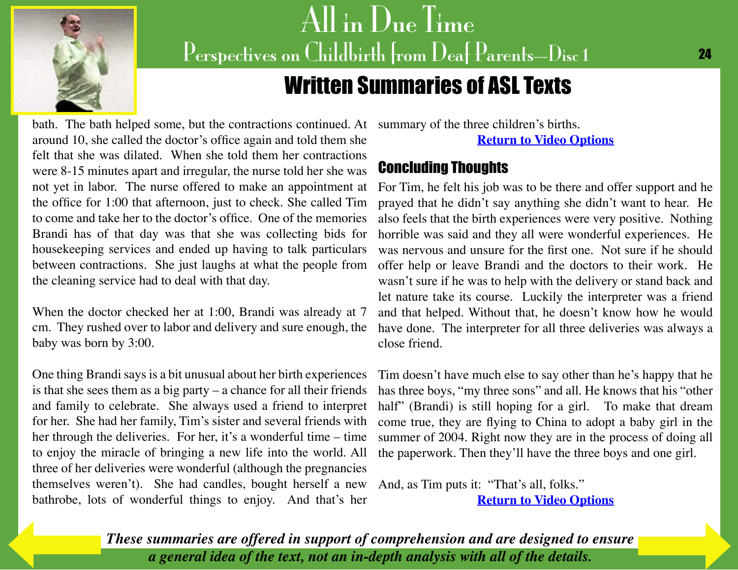<span id="page-24-0"></span>

# Written Summaries of ASL Texts

bath. The bath helped some, but the contractions continued. At summary of the three children's births. around 10, she called the doctor's office again and told them she felt that she was dilated. When she told them her contractions were 8-15 minutes apart and irregular, the nurse told her she was not yet in labor. The nurse offered to make an appointment at the office for 1:00 that afternoon, just to check. She called Tim to come and take her to the doctor's office. One of the memories Brandi has of that day was that she was collecting bids for housekeeping services and ended up having to talk particulars between contractions. She just laughs at what the people from the cleaning service had to deal with that day.

When the doctor checked her at 1:00, Brandi was already at 7 cm. They rushed over to labor and delivery and sure enough, the baby was born by 3:00.

One thing Brandi says is a bit unusual about her birth experiences is that she sees them as a big party – a chance for all their friends and family to celebrate. She always used a friend to interpret for her. She had her family, Tim's sister and several friends with her through the deliveries. For her, it's a wonderful time – time to enjoy the miracle of bringing a new life into the world. All three of her deliveries were wonderful (although the pregnancies themselves weren't). She had candles, bought herself a new bathrobe, lots of wonderful things to enjoy. And that's her

**[Return to Video Options](#page-12-0)**

## Concluding Thoughts

For Tim, he felt his job was to be there and offer support and he prayed that he didn't say anything she didn't want to hear. He also feels that the birth experiences were very positive. Nothing horrible was said and they all were wonderful experiences. He was nervous and unsure for the first one. Not sure if he should offer help or leave Brandi and the doctors to their work. He wasn't sure if he was to help with the delivery or stand back and let nature take its course. Luckily the interpreter was a friend and that helped. Without that, he doesn't know how he would have done. The interpreter for all three deliveries was always a close friend.

Tim doesn't have much else to say other than he's happy that he has three boys, "my three sons" and all. He knows that his "other half" (Brandi) is still hoping for a girl. To make that dream come true, they are flying to China to adopt a baby girl in the summer of 2004. Right now they are in the process of doing all the paperwork. Then they'll have the three boys and one girl.

And, as Tim puts it: "That's all, folks." **[Return to Video Options](#page-12-0)**